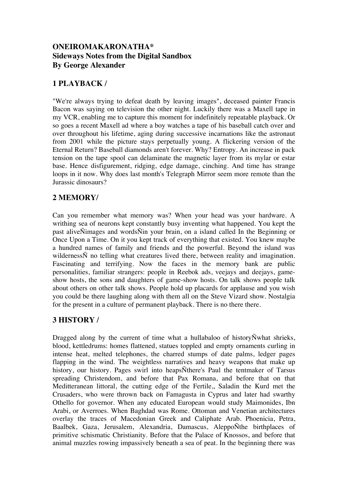#### **ONEIROMAKARONATHA\* Sideways Notes from the Digital Sandbox By George Alexander**

#### **1 PLAYBACK /**

"We're always trying to defeat death by leaving images", deceased painter Francis Bacon was saying on television the other night. Luckily there was a Maxell tape in my VCR, enabling me to capture this moment for indefinitely repeatable playback. Or so goes a recent Maxell ad where a boy watches a tape of his baseball catch over and over throughout his lifetime, aging during successive incarnations like the astronaut from 2001 while the picture stays perpetually young. A flickering version of the Eternal Return? Baseball diamonds aren't forever. Why? Entropy. An increase in pack tension on the tape spool can delaminate the magnetic layer from its mylar or estar base. Hence disfigurement, ridging, edge damage, cinching. And time has strange loops in it now. Why does last month's Telegraph Mirror seem more remote than the Jurassic dinosaurs?

## **2 MEMORY/**

Can you remember what memory was? When your head was your hardware. A writhing sea of neurons kept constantly busy inventing what happened. You kept the past aliveÑimages and wordsÑin your brain, on a island called In the Beginning or Once Upon a Time. On it you kept track of everything that existed. You knew maybe a hundred names of family and friends and the powerful. Beyond the island was wildernessÑ no telling what creatures lived there, between reality and imagination. Fascinating and terrifying. Now the faces in the memory bank are public personalities, familiar strangers: people in Reebok ads, veejays and deejays, gameshow hosts, the sons and daughters of game-show hosts. On talk shows people talk about others on other talk shows. People hold up placards for applause and you wish you could be there laughing along with them all on the Steve Vizard show. Nostalgia for the present in a culture of permanent playback. There is no there there.

#### **3 HISTORY /**

Dragged along by the current of time what a hullabaloo of historyÑwhat shrieks, blood, kettledrums: homes flattened, statues toppled and empty ornaments curling in intense heat, melted telephones, the charred stumps of date palms, ledger pages flapping in the wind. The weightless narratives and heavy weapons that make up history, our history. Pages swirl into heapsÑthere's Paul the tentmaker of Tarsus spreading Christendom, and before that Pax Romana, and before that on that Meditteranean littoral, the cutting edge of the Fertile,, Saladin the Kurd met the Crusaders, who were thrown back on Famagusta in Cyprus and later had swarthy Othello for governor. When any educated European would study Maimonides, Ibn Arabi, or Averroes. When Baghdad was Rome. Ottoman and Venetian architectures overlay the traces of Macedonian Greek and Caliphate Arab. Phoenicia, Petra, Baalbek, Gaza, Jerusalem, Alexandria, Damascus, AleppoÑthe birthplaces of primitive schismatic Christianity. Before that the Palace of Knossos, and before that animal muzzles rowing impassively beneath a sea of peat. In the beginning there was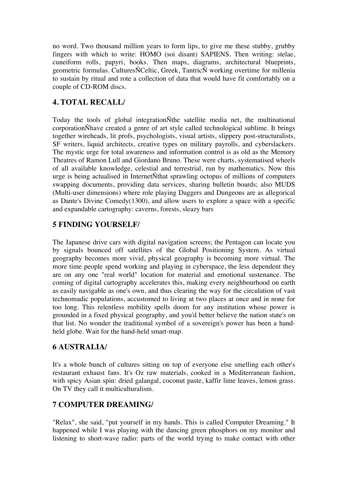no word. Two thousand million years to form lips, to give me these stubby, grubby fingers with which to write: HOMO (soi disant) SAPIENS. Then writing: stelae, cuneiform rolls, papyri, books. Then maps, diagrams, architectural blueprints, geometric formulas. CulturesÑCeltic, Greek, TantricÑ working overtime for millenia to sustain by ritual and rote a collection of data that would have fit comfortably on a couple of CD-ROM discs.

# **4. TOTAL RECALL/**

Today the tools of global integrationÑthe satellite media net, the multinational corporationÑhave created a genre of art style called technological sublime. It brings together wireheads, lit profs, psychologists, visual artists, slippery post-structuralists, SF writers, liquid architects, creative types on military payrolls, and cyberslackers. The mystic urge for total awareness and information control is as old as the Memory Theatres of Ramon Lull and Giordano Bruno. These were charts, systematised wheels of all available knowledge, celestial and terrestrial, run by mathematics. Now this urge is being actualised in InternetÑthat sprawling octopus of millions of computers swapping documents, providing data services, sharing bulletin boards; also MUDS (Multi-user dimensions) where role playing Daggers and Dungeons are as allegorical as Dante's Divine Comedy(1300), and allow users to explore a space with a specific and expandable cartography: caverns, forests, sleazy bars

## **5 FINDING YOURSELF/**

The Japanese drive cars with digital navigation screens; the Pentagon can locate you by signals bounced off satellites of the Global Positioning System. As virtual geography becomes more vivid, physical geography is becoming more virtual. The more time people spend working and playing in cyberspace, the less dependent they are on any one "real world" location for material and emotional sustenance. The coming of digital cartography accelerates this, making every neighbourhood on earth as easily navigable as one's own, and thus clearing the way for the circulation of vast technomadic populations, accustomed to living at two places at once and in none for too long. This relentless mobility spells doom for any institution whose power is grounded in a fixed physical geography, and you'd better believe the nation state's on that list. No wonder the traditional symbol of a sovereign's power has been a handheld globe. Wait for the hand-held smart-map.

## **6 AUSTRALIA/**

It's a whole bunch of cultures sitting on top of everyone else smelling each other's restaurant exhaust fans. It's Oz raw materials, cooked in a Mediterranean fashion, with spicy Asian spin: dried galangal, coconut paste, kaffir lime leaves, lemon grass. On TV they call it multiculturalism.

## **7 COMPUTER DREAMING/**

"Relax", she said, "put yourself in my hands. This is called Computer Dreaming." It happened while I was playing with the dancing green phosphors on my monitor and listening to short-wave radio: parts of the world trying to make contact with other